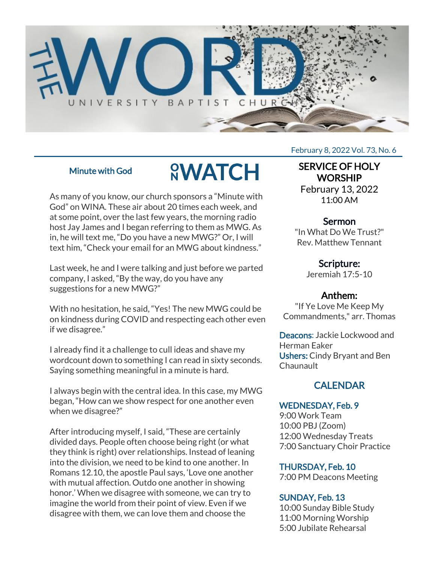

## Minute with God

# **<u>SWATCH</u>**

As many of you know, our church sponsors a "Minute with God" on WINA. These air about 20 times each week, and at some point, over the last few years, the morning radio host Jay James and I began referring to them as MWG. As in, he will text me, "Do you have a new MWG?" Or, I will text him, "Check your email for an MWG about kindness."

Last week, he and I were talking and just before we parted company, I asked, "By the way, do you have any suggestions for a new MWG?"

With no hesitation, he said, "Yes! The new MWG could be on kindness during COVID and respecting each other even if we disagree."

I already find it a challenge to cull ideas and shave my wordcount down to something I can read in sixty seconds. Saying something meaningful in a minute is hard.

I always begin with the central idea. In this case, my MWG began, "How can we show respect for one another even when we disagree?"

After introducing myself, I said, "These are certainly divided days. People often choose being right (or what they think is right) over relationships. Instead of leaning into the division, we need to be kind to one another. In Romans 12.10, the apostle Paul says, 'Love one another with mutual affection. Outdo one another in showing honor.' When we disagree with someone, we can try to imagine the world from their point of view. Even if we disagree with them, we can love them and choose the

#### February 8, 2022 Vol. 73, No. 6

## SERVICE OF HOLY **WORSHIP**

February 13, 2022 11:00 AM

### Sermon

"In What Do We Trust?" Rev. Matthew Tennant

# Scripture:

Jeremiah 17:5-10

## Anthem:

"If Ye Love Me Keep My Commandments," arr. Thomas

Deacons: Jackie Lockwood and Herman Eaker Ushers: Cindy Bryant and Ben Chaunault

# **CALENDAR**

#### WEDNESDAY, Feb. 9

9:00 Work Team 10:00 PBJ (Zoom) 12:00 Wednesday Treats 7:00 Sanctuary Choir Practice

#### THURSDAY, Feb. 10

7:00 PM Deacons Meeting

## SUNDAY, Feb. 13

10:00 Sunday Bible Study 11:00 Morning Worship 5:00 Jubilate Rehearsal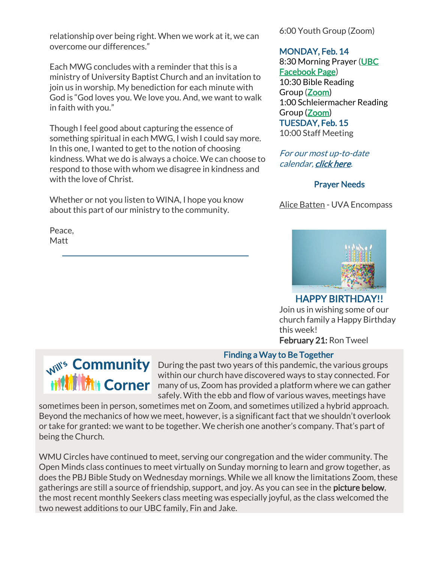relationship over being right. When we work at it, we can overcome our differences."

Each MWG concludes with a reminder that this is a ministry of University Baptist Church and an invitation to join us in worship. My benediction for each minute with God is "God loves you. We love you. And, we want to walk in faith with you."

Though I feel good about capturing the essence of something spiritual in each MWG, I wish I could say more. In this one, I wanted to get to the notion of choosing kindness. What we do is always a choice. We can choose to respond to those with whom we disagree in kindness and with the love of Christ.

Whether or not you listen to WINA, I hope you know about this part of our ministry to the community.

Peace, Matt

6:00 Youth Group (Zoom)

#### MONDAY, Feb. 14

8:30 Morning Prayer [\(UBC](https://www.facebook.com/UniversityBaptistChurchCharlottesville) [Facebook Page\)](https://www.facebook.com/UniversityBaptistChurchCharlottesville) 10:30 Bible Reading Group [\(Zoom\)](https://us02web.zoom.us/j/85381408096?pwd=MzdkVG9JZ2x0M2JFK01KNlNjSWtqUT09) 1:00 Schleiermacher Reading Group [\(Zoom\)](https://www.google.com/url?q=https://us02web.zoom.us/j/81517569164?pwd%3DcVB3am9iK0lBaUNic3d1TEltM3lNdz09&sa=D&source=calendar&ust=1644068858792365&usg=AOvVaw144jVTZ8-vRYGieCq1kEmg) TUESDAY, Feb. 15 10:00 Staff Meeting

For our most up-to-date calendar, [click here.](https://universitybaptist.org/calendar/)

#### Prayer Needs

Alice Batten - UVA Encompass



HAPPY BIRTHDAY!! Join us in wishing some of our church family a Happy Birthday this week! February 21: Ron Tweel



#### Finding a Way to Be Together

Will's **Community** During the past two years of this pandemic, the various groups within our church have discovered ways to stay connected. For within our church have discovered ways to stay connected. For<br>**Many of us, Zoom has provided a platform where we can gather** safely. With the ebb and flow of various waves, meetings have

sometimes been in person, sometimes met on Zoom, and sometimes utilized a hybrid approach. Beyond the mechanics of how we meet, however, is a significant fact that we shouldn't overlook or take for granted: we want to be together. We cherish one another's company. That's part of being the Church.

WMU Circles have continued to meet, serving our congregation and the wider community. The Open Minds class continues to meet virtually on Sunday morning to learn and grow together, as does the PBJ Bible Study on Wednesday mornings. While we all know the limitations Zoom, these gatherings are still a source of friendship, support, and joy. As you can see in the **picture below**, the most recent monthly Seekers class meeting was especially joyful, as the class welcomed the two newest additions to our UBC family, Fin and Jake.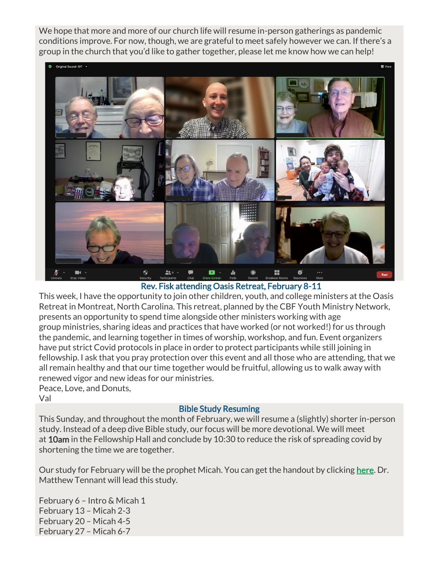We hope that more and more of our church life will resume in-person gatherings as pandemic conditions improve. For now, though, we are grateful to meet safely however we can. If there's a group in the church that you'd like to gather together, please let me know how we can help!



Rev. Fisk attending Oasis Retreat, February 8-11

This week, I have the opportunity to join other children, youth, and college ministers at the Oasis Retreat in Montreat, North Carolina. This retreat, planned by the CBF Youth Ministry Network, presents an opportunity to spend time alongside other ministers working with age group ministries, sharing ideas and practices that have worked (or not worked!) for us through the pandemic, and learning together in times of worship, workshop, and fun. Event organizers have put strict Covid protocols in place in order to protect participants while still joining in fellowship. I ask that you pray protection over this event and all those who are attending, that we all remain healthy and that our time together would be fruitful, allowing us to walk away with renewed vigor and new ideas for our ministries. Peace, Love, and Donuts, Val

Bible Study Resuming

This Sunday, and throughout the month of February, we will resume a (slightly) shorter in-person study. Instead of a deep dive Bible study, our focus will be more devotional. We will meet at 10am in the Fellowship Hall and conclude by 10:30 to reduce the risk of spreading covid by shortening the time we are together.

Our study for February will be the prophet Micah. You can get the handout by clicking [here.](https://universitybaptist.org/wp-content/uploads/2022/02/Micah.pdf) Dr. Matthew Tennant will lead this study.

February 6 – Intro & Micah 1 February 13 – Micah 2-3 February 20 – Micah 4-5 February 27 – Micah 6-7